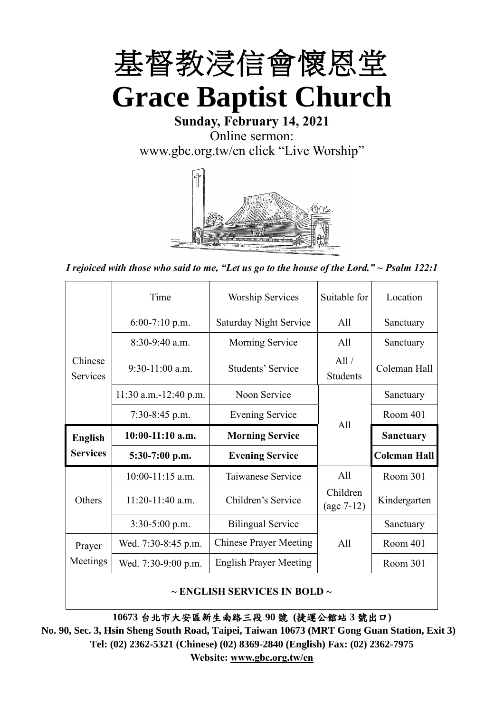

**Sunday, February 14, 2021** Online sermon: [www.gbc.org.tw/en](http://www.gbc.org.tw/en) click "Live Worship"



*I rejoiced with those who said to me, "Let us go to the house of the Lord." ~ Psalm 122:1*

|                            | Time                  | <b>Worship Services</b>       | Suitable for             | Location            |
|----------------------------|-----------------------|-------------------------------|--------------------------|---------------------|
|                            | $6:00-7:10$ p.m.      | <b>Saturday Night Service</b> | All                      | Sanctuary           |
|                            | $8:30-9:40$ a.m.      | Morning Service               | All                      | Sanctuary           |
| Chinese<br><b>Services</b> | $9:30-11:00$ a.m.     | Students' Service             | All /<br><b>Students</b> | Coleman Hall        |
|                            | 11:30 a.m.-12:40 p.m. | Noon Service                  |                          | Sanctuary           |
|                            | $7:30-8:45$ p.m.      | <b>Evening Service</b>        | All                      | Room 401            |
|                            |                       |                               |                          |                     |
| <b>English</b>             | $10:00-11:10$ a.m.    | <b>Morning Service</b>        |                          | <b>Sanctuary</b>    |
| <b>Services</b>            | $5:30-7:00$ p.m.      | <b>Evening Service</b>        |                          | <b>Coleman Hall</b> |
|                            | $10:00-11:15$ a.m.    | Taiwanese Service             | All                      | Room 301            |
| Others                     | $11:20-11:40$ a.m.    | Children's Service            | Children<br>$(age 7-12)$ | Kindergarten        |
|                            | $3:30-5:00$ p.m.      | <b>Bilingual Service</b>      |                          | Sanctuary           |
| Prayer                     | Wed. 7:30-8:45 p.m.   | <b>Chinese Prayer Meeting</b> | A11                      | Room 401            |
| Meetings                   | Wed. 7:30-9:00 p.m.   | <b>English Prayer Meeting</b> |                          | Room 301            |

#### **~ ENGLISH SERVICES IN BOLD ~**

**10673** 台北市大安區新生南路三段 **90** 號 **(**捷運公館站 **3** 號出口**)**

**No. 90, Sec. 3, Hsin Sheng South Road, Taipei, Taiwan 10673 (MRT Gong Guan Station, Exit 3) Tel: (02) 2362-5321 (Chinese) (02) 8369-2840 (English) Fax: (02) 2362-7975 Website: [www.gbc.org.tw/en](http://www.gbc.org.tw/en)**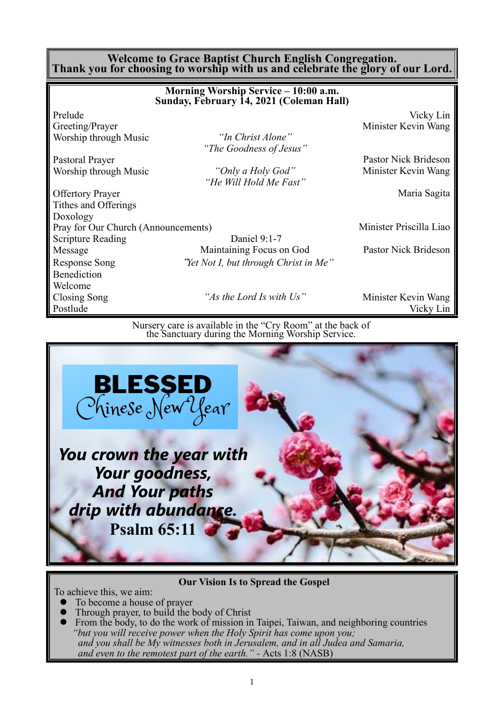#### **Welcome to Grace Baptist Church English Congregation. Thank you for choosing to worship with us and celebrate the glory of our Lord.**

|                                     | Morning Worship Service - 10:00 a.m.<br>Sunday, February 14, 2021 (Coleman Hall) |                         |
|-------------------------------------|----------------------------------------------------------------------------------|-------------------------|
| Prelude                             |                                                                                  | Vicky Lin               |
| Greeting/Prayer                     |                                                                                  | Minister Kevin Wang     |
| Worship through Music               | "In Christ Alone"                                                                |                         |
|                                     | "The Goodness of Jesus"                                                          |                         |
| Pastoral Prayer                     |                                                                                  | Pastor Nick Brideson    |
| Worship through Music               | "Only a Holy God"                                                                | Minister Kevin Wang     |
|                                     | "He Will Hold Me Fast"                                                           |                         |
| <b>Offertory Prayer</b>             |                                                                                  | Maria Sagita            |
| Tithes and Offerings                |                                                                                  |                         |
| Doxology                            |                                                                                  |                         |
| Pray for Our Church (Announcements) |                                                                                  | Minister Priscilla Liao |
| <b>Scripture Reading</b>            | Daniel 9:1-7                                                                     |                         |
| Message                             | Maintaining Focus on God                                                         | Pastor Nick Brideson    |
| <b>Response Song</b>                | "Yet Not I, but through Christ in Me"                                            |                         |
| Benediction                         |                                                                                  |                         |
| Welcome                             |                                                                                  |                         |
| Closing Song                        | "As the Lord Is with Us"                                                         | Minister Kevin Wang     |
| Postlude                            |                                                                                  | Vicky Lin               |
|                                     |                                                                                  |                         |

Nursery care is available in the "Cry Room" at the back of the Sanctuary during the Morning Worship Service.



**Our Vision Is to Spread the Gospel**

To achieve this, we aim:

- ⚫ To become a house of prayer
- ⚫ Through prayer, to build the body of Christ
- ⚫ From the body, to do the work of mission in Taipei, Taiwan, and neighboring countries *"but you will receive power when the Holy Spirit has come upon you; and you shall be My witnesses both in Jerusalem, and in all Judea and Samaria, and even to the remotest part of the earth." -* Acts 1:8 (NASB)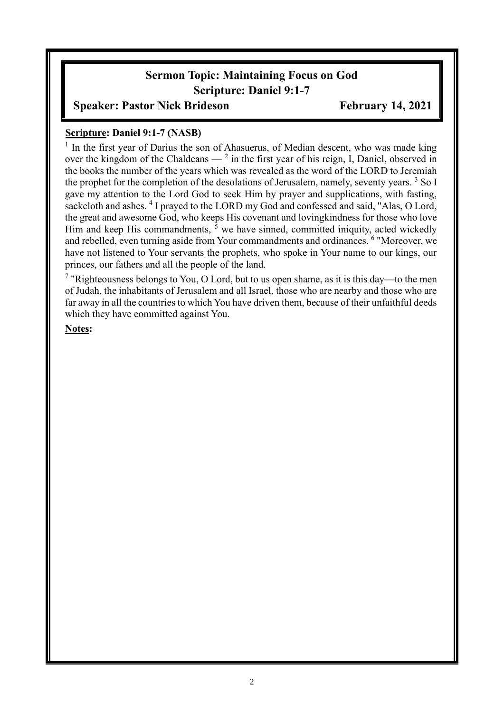# **Sermon Topic: Maintaining Focus on God Scripture: Daniel 9:1-7**

### **Speaker: Pastor Nick Brideson February 14, 2021**

#### **Scripture: Daniel 9:1-7 (NASB)**

<sup>1</sup> In the first year of Darius the son of Ahasuerus, of Median descent, who was made king over the kingdom of the Chaldeans  $-$ <sup>2</sup> in the first year of his reign, I, Daniel, observed in the books the number of the years which was revealed as the word of the LORD to Jeremiah the prophet for the completion of the desolations of Jerusalem, namely, seventy years.<sup>3</sup> So I gave my attention to the Lord God to seek Him by prayer and supplications, with fasting, sackcloth and ashes. <sup>4</sup> I prayed to the LORD my God and confessed and said, "Alas, O Lord, the great and awesome God, who keeps His covenant and lovingkindness for those who love Him and keep His commandments,  $\bar{5}$  we have sinned, committed iniquity, acted wickedly and rebelled, even turning aside from Your commandments and ordinances. <sup>6</sup> "Moreover, we have not listened to Your servants the prophets, who spoke in Your name to our kings, our princes, our fathers and all the people of the land.

<sup>7</sup> "Righteousness belongs to You, O Lord, but to us open shame, as it is this day—to the men of Judah, the inhabitants of Jerusalem and all Israel, those who are nearby and those who are far away in all the countries to which You have driven them, because of their unfaithful deeds which they have committed against You.

**Notes:**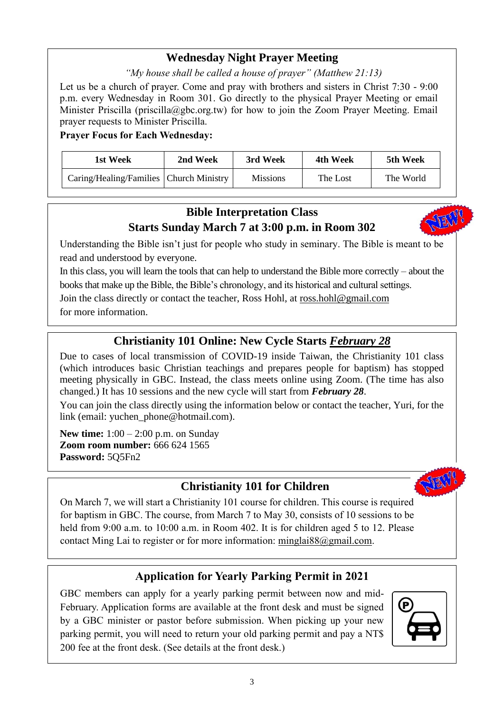## **Wednesday Night Prayer Meeting**

*"My house shall be called a house of prayer" (Matthew 21:13)*

Let us be a church of prayer. Come and pray with brothers and sisters in Christ 7:30 - 9:00 p.m. every Wednesday in Room 301. Go directly to the physical Prayer Meeting or email Minister Priscilla (priscilla@gbc.org.tw) for how to join the Zoom Prayer Meeting. Email prayer requests to Minister Priscilla.

**Prayer Focus for Each Wednesday:**

| 1st Week                                  | 2nd Week | 3rd Week        | 4th Week | 5th Week  |
|-------------------------------------------|----------|-----------------|----------|-----------|
| Caring/Healing/Families   Church Ministry |          | <b>Missions</b> | The Lost | The World |

# **Bible Interpretation Class Starts Sunday March 7 at 3:00 p.m. in Room 302**



Understanding the Bible isn't just for people who study in seminary. The Bible is meant to be read and understood by everyone.

In this class, you will learn the tools that can help to understand the Bible more correctly – about the books that make up the Bible, the Bible's chronology, and its historical and cultural settings. Join the class directly or contact the teacher, Ross Hohl, at [ross.hohl@gmail.com](mailto:ross.hohl@gmail.com)

for more information.

# **Christianity 101 Online: New Cycle Starts** *February 28*

Due to cases of local transmission of COVID-19 inside Taiwan, the Christianity 101 class (which introduces basic Christian teachings and prepares people for baptism) has stopped meeting physically in GBC. Instead, the class meets online using Zoom. (The time has also changed.) It has 10 sessions and the new cycle will start from *February 28*.

You can join the class directly using the information below or contact the teacher, Yuri, for the link (email: [yuchen\\_phone@hotmail.com\)](mailto:yuchen_phone@hotmail.com).

**New time:** 1:00 – 2:00 p.m. on Sunday **Zoom room number:** 666 624 1565 **Password:** 5Q5Fn2

## **Christianity 101 for Children**



On March 7, we will start a Christianity 101 course for children. This course is required for baptism in GBC. The course, from March 7 to May 30, consists of 10 sessions to be held from 9:00 a.m. to 10:00 a.m. in Room 402. It is for children aged 5 to 12. Please contact Ming Lai to register or for more information: [minglai88@gmail.com.](mailto:minglai88@gmail.com)

## **Application for Yearly Parking Permit in 2021**

GBC members can apply for a yearly parking permit between now and mid-February. Application forms are available at the front desk and must be signed by a GBC minister or pastor before submission. When picking up your new parking permit, you will need to return your old parking permit and pay a NT\$ 200 fee at the front desk. (See details at the front desk.)

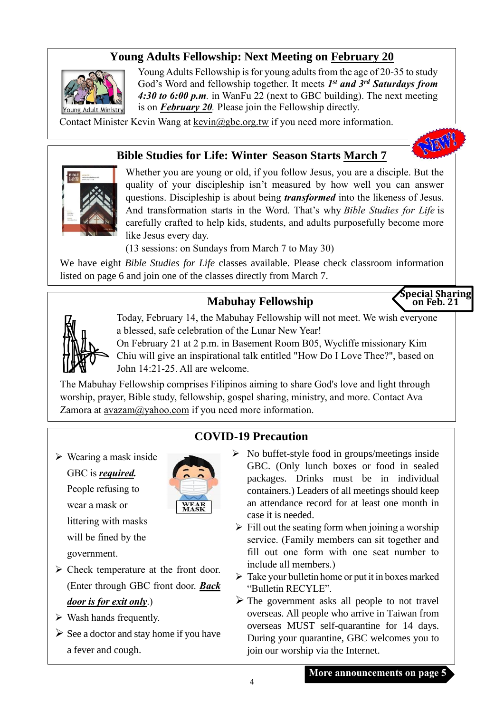# **Young Adults Fellowship: Next Meeting on February 20**



Young Adults Fellowship is for young adults from the age of 20-35 to study God's Word and fellowship together. It meets  $I^{st}$  and  $3^{rd}$  Saturdays from *4:30 to 6:00 p.m.* in WanFu 22 (next to GBC building). The next meeting is on *February 20.* Please join the Fellowship directly.

Contact Minister Kevin Wang at kevin@gbc.org.tw if you need more information.

#### **Bible Studies for Life: Winter Season Starts March 7**



Whether you are young or old, if you follow Jesus, you are a disciple. But the quality of your discipleship isn't measured by how well you can answer questions. Discipleship is about being *transformed* into the likeness of Jesus. And transformation starts in the Word. That's why *Bible Studies for Life* is carefully crafted to help kids, students, and adults purposefully become more like Jesus every day.

(13 sessions: on Sundays from March 7 to May 30)

We have eight *Bible Studies for Life* classes available. Please check classroom information listed on page 6 and join one of the classes directly from March 7.

# **Mabuhay Fellowship**

**Special Sharing on Feb. 21**

STERVIC



Today, February 14, the Mabuhay Fellowship will not meet. We wish everyone a blessed, safe celebration of the Lunar New Year!

On February 21 at 2 p.m. in Basement Room B05, Wycliffe missionary Kim Chiu will give an inspirational talk entitled "How Do I Love Thee?", based on John 14:21-25. All are welcome.

The Mabuhay Fellowship comprises Filipinos aiming to share God's love and light through worship, prayer, Bible study, fellowship, gospel sharing, ministry, and more. Contact Ava Zamora at [avazam@yahoo.com](mailto:avazam@yahoo.com) if you need more information.

➢ Wearing a mask inside GBC is *required.* People refusing to wear a mask or littering with masks will be fined by the government.



- ➢ Check temperature at the front door. (Enter through GBC front door. *Back door is for exit only*.)
- $\triangleright$  Wash hands frequently.
- $\triangleright$  See a doctor and stay home if you have a fever and cough.

#### **COVID-19 Precaution**

- $\triangleright$  No buffet-style food in groups/meetings inside GBC. (Only lunch boxes or food in sealed packages. Drinks must be in individual containers.) Leaders of all meetings should keep an attendance record for at least one month in case it is needed.
- $\triangleright$  Fill out the seating form when joining a worship service. (Family members can sit together and fill out one form with one seat number to include all members.)
- $\triangleright$  Take your bulletin home or put it in boxes marked "Bulletin RECYLE".
- $\triangleright$  The government asks all people to not travel overseas. All people who arrive in Taiwan from overseas MUST self-quarantine for 14 days. During your quarantine, GBC welcomes you to join our worship via the Internet.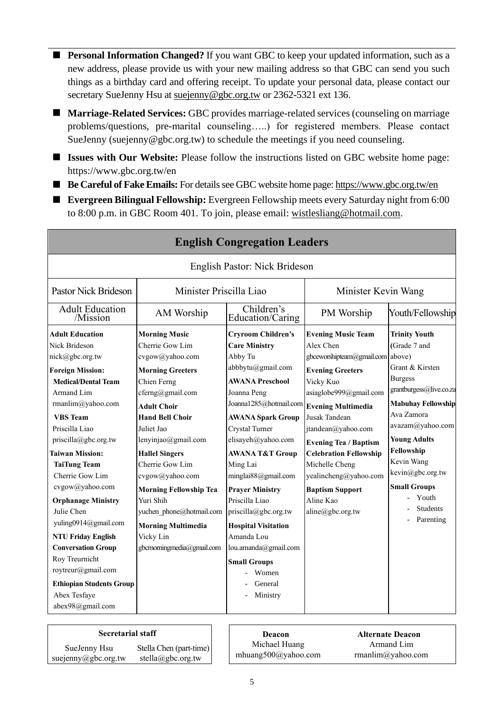- **Personal Information Changed?** If you want GBC to keep your updated information, such as a new address, please provide us with your new mailing address so that GBC can send you such things as a birthday card and offering receipt. To update your personal data, please contact our secretary SueJenny Hsu at [suejenny@gbc.org.tw](mailto:suejenny@gbc.org.tw) or 2362-5321 ext 136.
- **Marriage-Related Services:** GBC provides marriage-related services (counseling on marriage problems/questions, pre-marital counseling…..) for registered members. Please contact SueJenny (suejenny@gbc.org.tw) to schedule the meetings if you need counseling.
- **Issues with Our Website:** Please follow the instructions listed on GBC website home page: https://www.gbc.org.tw/en
- **Be Careful of Fake Emails:** For details see GBC website home page[: https://www.gbc.org.tw/en](https://www.gbc.org.tw/en)
- **Evergreen Bilingual Fellowship:** Evergreen Fellowship meets every Saturday night from 6:00 to 8:00 p.m. in GBC Room 401. To join, please email: [wistlesliang@hotmail.com.](mailto:wistlesliang@hotmail.com)

| <b>English Congregation Leaders</b>                                                                                                                                                                                                                                                                                                                                                                                                                                             |                                                                                                                                                                                                                                                                                                                                                                                                                               |                                                                                                                                                                                                                                                                                                                                                                                                                                                                                      |                                                                                                                                                                                                                                                                                                                                                     |                                                                                                                                                                                                                                                                                                                      |  |
|---------------------------------------------------------------------------------------------------------------------------------------------------------------------------------------------------------------------------------------------------------------------------------------------------------------------------------------------------------------------------------------------------------------------------------------------------------------------------------|-------------------------------------------------------------------------------------------------------------------------------------------------------------------------------------------------------------------------------------------------------------------------------------------------------------------------------------------------------------------------------------------------------------------------------|--------------------------------------------------------------------------------------------------------------------------------------------------------------------------------------------------------------------------------------------------------------------------------------------------------------------------------------------------------------------------------------------------------------------------------------------------------------------------------------|-----------------------------------------------------------------------------------------------------------------------------------------------------------------------------------------------------------------------------------------------------------------------------------------------------------------------------------------------------|----------------------------------------------------------------------------------------------------------------------------------------------------------------------------------------------------------------------------------------------------------------------------------------------------------------------|--|
|                                                                                                                                                                                                                                                                                                                                                                                                                                                                                 |                                                                                                                                                                                                                                                                                                                                                                                                                               | English Pastor: Nick Brideson                                                                                                                                                                                                                                                                                                                                                                                                                                                        |                                                                                                                                                                                                                                                                                                                                                     |                                                                                                                                                                                                                                                                                                                      |  |
| <b>Pastor Nick Brideson</b>                                                                                                                                                                                                                                                                                                                                                                                                                                                     | Minister Priscilla Liao                                                                                                                                                                                                                                                                                                                                                                                                       |                                                                                                                                                                                                                                                                                                                                                                                                                                                                                      | Minister Kevin Wang                                                                                                                                                                                                                                                                                                                                 |                                                                                                                                                                                                                                                                                                                      |  |
| <b>Adult Education</b><br>/Mission                                                                                                                                                                                                                                                                                                                                                                                                                                              | AM Worship                                                                                                                                                                                                                                                                                                                                                                                                                    | Children's<br>Education/Caring                                                                                                                                                                                                                                                                                                                                                                                                                                                       | PM Worship                                                                                                                                                                                                                                                                                                                                          | Youth/Fellowship                                                                                                                                                                                                                                                                                                     |  |
| <b>Adult Education</b><br>Nick Brideson<br>nick@gbc.org.tw<br><b>Foreign Mission:</b><br><b>Medical/Dental Team</b><br>Armand Lim<br>rmanlim@yahoo.com<br><b>VBS</b> Team<br>Priscilla Liao<br>priscilla@gbc.org.tw<br><b>Taiwan Mission:</b><br><b>TaiTung Team</b><br>Cherrie Gow Lim<br>cvgow@yahoo.com<br><b>Orphanage Ministry</b><br>Julie Chen<br>yuling0914@gmail.com<br><b>NTU Friday English</b><br><b>Conversation Group</b><br>Roy Treurnicht<br>roytreur@gmail.com | <b>Morning Music</b><br>Cherrie Gow Lim<br>cvgow@yahoo.com<br><b>Morning Greeters</b><br>Chien Ferng<br>cferng@gmail.com<br><b>Adult Choir</b><br><b>Hand Bell Choir</b><br>Juliet Jao<br>lenyinjao@gmail.com<br><b>Hallel Singers</b><br>Cherrie Gow Lim<br>cvgow@yahoo.com<br><b>Morning Fellowship Tea</b><br>Yuri Shih<br>yuchen phone@hotmail.com<br><b>Morning Multimedia</b><br>Vicky Lin<br>gbcmorningmedia@gmail.com | <b>Cryroom Children's</b><br><b>Care Ministry</b><br>Abby Tu<br>abbbytu@gmail.com<br><b>AWANA Preschool</b><br>Joanna Peng<br>Joanna1285@hotmail.com Evening Multimedia<br><b>AWANA Spark Group</b><br>Crystal Turner<br>elisayeh@yahoo.com<br><b>AWANA T&amp;T Group</b><br>Ming Lai<br>minglai88@gmail.com<br><b>Prayer Ministry</b><br>Priscilla Liao<br>priscilla@gbc.org.tw<br><b>Hospital Visitation</b><br>Amanda Lou<br>lou.amanda@gmail.com<br><b>Small Groups</b><br>Women | <b>Evening Music Team</b><br>Alex Chen<br>gbceworshipteam@gmail.com<br><b>Evening Greeters</b><br>Vicky Kuo<br>asiaglobe999@gmail.com<br>Jusak Tandean<br>jtandean@yahoo.com<br><b>Evening Tea / Baptism</b><br><b>Celebration Fellowship</b><br>Michelle Cheng<br>yealincheng@yahoo.com<br><b>Baptism Support</b><br>Aline Kao<br>aline@gbc.org.tw | <b>Trinity Youth</b><br>(Grade 7 and<br>above)<br>Grant & Kirsten<br><b>Burgess</b><br>grantburgess@live.co.za<br><b>Mabuhay Fellowship</b><br>Ava Zamora<br>avazam@yahoo.com<br><b>Young Adults</b><br>Fellowship<br>Kevin Wang<br>kevin@gbc.org.tw<br><b>Small Groups</b><br>Youth<br><b>Students</b><br>Parenting |  |
| <b>Ethiopian Students Group</b><br>Abex Tesfaye<br>abex98@gmail.com                                                                                                                                                                                                                                                                                                                                                                                                             |                                                                                                                                                                                                                                                                                                                                                                                                                               | General<br>Ministry                                                                                                                                                                                                                                                                                                                                                                                                                                                                  |                                                                                                                                                                                                                                                                                                                                                     |                                                                                                                                                                                                                                                                                                                      |  |

#### **Secretarial staff Deacon**

| SueJenny Hsu        |  |
|---------------------|--|
| suejenny@gbc.org.tw |  |

Stella Chen (part-time) stella@gbc.org.tw

Michael Huang mhuang500@yahoo.com

**Alternate Deacon** Armand Lim rmanlim@yahoo.com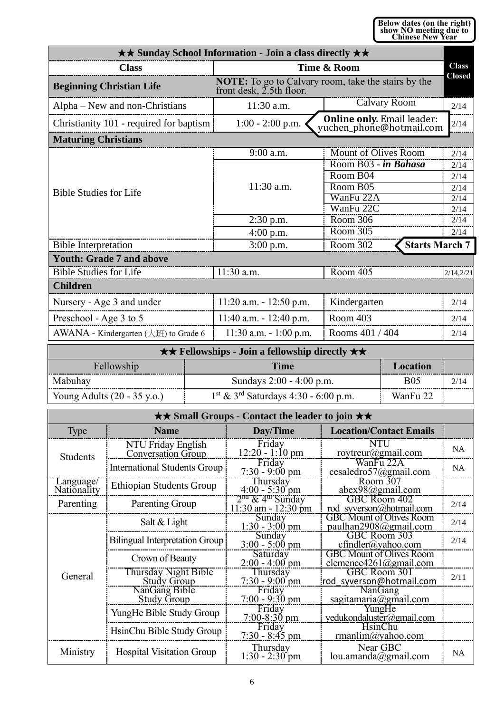**Below dates (on the right) show NO meeting due to Chinese New Year** 

|                                         | <b>★★ Sunday School Information - Join a class directly ★★</b> |                                                               |               |
|-----------------------------------------|----------------------------------------------------------------|---------------------------------------------------------------|---------------|
| <b>Class</b>                            | Time & Room                                                    |                                                               | <b>Class</b>  |
| <b>Beginning Christian Life</b>         | front desk, 2.5th floor.                                       | <b>NOTE:</b> To go to Calvary room, take the stairs by the    | <b>Closed</b> |
| Alpha – New and non-Christians          | 11:30 a.m.                                                     | <b>Calvary Room</b>                                           | 2/14          |
| Christianity 101 - required for baptism | $1:00 - 2:00$ p.m.                                             | <b>Online only.</b> Email leader:<br>yuchen_phone@hotmail.com | 2/14          |
| <b>Maturing Christians</b>              |                                                                |                                                               |               |
|                                         | 9:00 a.m.                                                      | Mount of Olives Room                                          | 2/14          |
|                                         |                                                                | Room B03 - in Bahasa                                          | 2/14          |
|                                         |                                                                | Room B04                                                      | 2/14          |
| <b>Bible Studies for Life</b>           | $11:30$ a.m.                                                   | Room B05                                                      | 2/14          |
|                                         |                                                                | WanFu 22A                                                     | 2/14          |
|                                         |                                                                | WanFu 22C                                                     | 2/14          |
|                                         | $2:30$ p.m.                                                    | Room 306                                                      | 2/14          |
|                                         | $4:00$ p.m.                                                    | Room 305                                                      | 2/14          |
| <b>Bible Interpretation</b>             | $3:00$ p.m.                                                    | <b>Starts March 7</b><br>Room 302                             |               |
| <b>Youth: Grade 7 and above</b>         |                                                                |                                                               |               |
| <b>Bible Studies for Life</b>           | 11:30 a.m.                                                     | Room 405                                                      | 2/14,2/21     |
| <b>Children</b>                         |                                                                |                                                               |               |
| Nursery - Age 3 and under               | $11:20$ a.m. $-12:50$ p.m.                                     | Kindergarten                                                  | 2/14          |
| Preschool - Age 3 to 5                  | $11:40$ a.m. $-12:40$ p.m.                                     | Room 403                                                      | 2/14          |
| AWANA - Kindergarten (大班) to Grade 6    | $11:30$ a.m. $-1:00$ p.m.                                      | Rooms 401 / 404                                               | 2/14          |

| $\star \star$ Fellowships - Join a fellowship directly $\star \star$                                    |                          |            |      |  |  |
|---------------------------------------------------------------------------------------------------------|--------------------------|------------|------|--|--|
| Fellowship<br>Location<br>Time                                                                          |                          |            |      |  |  |
| Mabuhay                                                                                                 | Sundays 2:00 - 4:00 p.m. | <b>B05</b> | 2/14 |  |  |
| $1st$ & 3 <sup>rd</sup> Saturdays 4:30 - 6:00 p.m.<br>Young Adults $(20 - 35 \text{ y.o.})$<br>WanFu 22 |                          |            |      |  |  |

| <b>★★ Small Groups - Contact the leader to join ★★</b> |                                                 |                                                                     |                                                           |           |  |  |
|--------------------------------------------------------|-------------------------------------------------|---------------------------------------------------------------------|-----------------------------------------------------------|-----------|--|--|
| Type                                                   | <b>Name</b>                                     | Day/Time                                                            | <b>Location/Contact Emails</b>                            |           |  |  |
| <b>Students</b>                                        | NTU Friday English<br><b>Conversation Group</b> | Friday<br>$12:20 - 1:10$ pm                                         | <b>NTU</b><br>roytreur@gmail.com                          | <b>NA</b> |  |  |
|                                                        | <b>International Students Group</b>             | Friday<br>$7:30 - 9:00 \text{ pm}$                                  | WanFu 22A<br>cesaledro57@gmail.com                        | <b>NA</b> |  |  |
| Language/<br>Nationality                               | <b>Ethiopian Students Group</b>                 | Thursday<br>$4:00 - 5:30$ pm                                        | Room 307<br>abex98@gmail.com                              |           |  |  |
| Parenting                                              | Parenting Group                                 | 2 <sup>na</sup> & 4 <sup>th</sup> Sunday<br>$11:30$ am - $12:30$ pm | GBC Room 402<br>rod syverson@hotmail.com                  | 2/14      |  |  |
|                                                        | Salt & Light                                    | Sunday<br>$1:30 - 3:00$ pm                                          | <b>GBC Mount of Olives Room</b><br>paulhan2908@gmail.com  | 2/14      |  |  |
|                                                        | <b>Bilingual Interpretation Group</b>           | Sunday<br>$3:00 - 5:00$ pm                                          | GBC Room 303<br>$cfindler(a)$ yahoo.com                   | 2/14      |  |  |
|                                                        | Crown of Beauty                                 | Saturday<br>$2:00 - 4:00$ pm                                        | <b>GBC Mount of Olives Room</b><br>clemence4261@gmail.com |           |  |  |
| General                                                | Thursday Night Bible<br><b>Study Group</b>      | Thursday<br>$7:30 - 9:00$ pm                                        | GBC Room 301<br>rod syverson@hotmail.com                  | 2/11      |  |  |
|                                                        | NanGang Bible<br><b>Study Group</b>             | Friday<br>$7:00 - 9:30$ pm                                          | NanGang<br>sagitamaria@gmail.com                          |           |  |  |
|                                                        | YungHe Bible Study Group                        | Friday<br>$7:00-8:30$ pm                                            | YungHe<br>yedukondaluster@gmail.com                       |           |  |  |
|                                                        | HsinChu Bible Study Group                       | Friday<br>$7:30 - 8:45$ pm                                          | HsinChu<br>rmanlim@yahoo.com                              |           |  |  |
| Ministry                                               | <b>Hospital Visitation Group</b>                | Thursday<br>$1:30 - 2:30$ pm                                        | Near GBC<br>lou.amanda@gmail.com                          | <b>NA</b> |  |  |